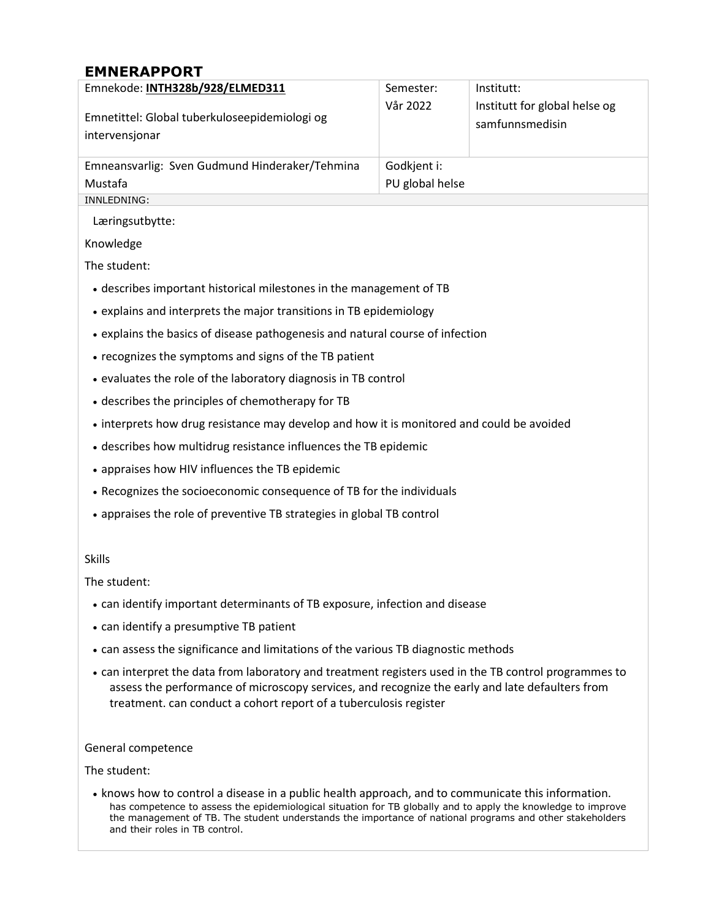## **EMNERAPPORT**

| Emnekode: INTH328b/928/ELMED311                                                                                                                                                                                                                                               | Semester:       | Institutt:                    |
|-------------------------------------------------------------------------------------------------------------------------------------------------------------------------------------------------------------------------------------------------------------------------------|-----------------|-------------------------------|
|                                                                                                                                                                                                                                                                               | Vår 2022        | Institutt for global helse og |
| Emnetittel: Global tuberkuloseepidemiologi og<br>intervensjonar                                                                                                                                                                                                               |                 | samfunnsmedisin               |
|                                                                                                                                                                                                                                                                               |                 |                               |
| Emneansvarlig: Sven Gudmund Hinderaker/Tehmina                                                                                                                                                                                                                                | Godkjent i:     |                               |
| Mustafa                                                                                                                                                                                                                                                                       | PU global helse |                               |
| INNLEDNING:                                                                                                                                                                                                                                                                   |                 |                               |
| Læringsutbytte:                                                                                                                                                                                                                                                               |                 |                               |
| Knowledge                                                                                                                                                                                                                                                                     |                 |                               |
| The student:                                                                                                                                                                                                                                                                  |                 |                               |
| • describes important historical milestones in the management of TB                                                                                                                                                                                                           |                 |                               |
| • explains and interprets the major transitions in TB epidemiology                                                                                                                                                                                                            |                 |                               |
| • explains the basics of disease pathogenesis and natural course of infection                                                                                                                                                                                                 |                 |                               |
| • recognizes the symptoms and signs of the TB patient                                                                                                                                                                                                                         |                 |                               |
| • evaluates the role of the laboratory diagnosis in TB control                                                                                                                                                                                                                |                 |                               |
| • describes the principles of chemotherapy for TB                                                                                                                                                                                                                             |                 |                               |
| • interprets how drug resistance may develop and how it is monitored and could be avoided                                                                                                                                                                                     |                 |                               |
| • describes how multidrug resistance influences the TB epidemic                                                                                                                                                                                                               |                 |                               |
| • appraises how HIV influences the TB epidemic                                                                                                                                                                                                                                |                 |                               |
| • Recognizes the socioeconomic consequence of TB for the individuals                                                                                                                                                                                                          |                 |                               |
| • appraises the role of preventive TB strategies in global TB control                                                                                                                                                                                                         |                 |                               |
|                                                                                                                                                                                                                                                                               |                 |                               |
| <b>Skills</b>                                                                                                                                                                                                                                                                 |                 |                               |
| The student:                                                                                                                                                                                                                                                                  |                 |                               |
| • can identify important determinants of TB exposure, infection and disease                                                                                                                                                                                                   |                 |                               |
| • can identify a presumptive TB patient                                                                                                                                                                                                                                       |                 |                               |
| • can assess the significance and limitations of the various TB diagnostic methods                                                                                                                                                                                            |                 |                               |
| • can interpret the data from laboratory and treatment registers used in the TB control programmes to<br>assess the performance of microscopy services, and recognize the early and late defaulters from<br>treatment. can conduct a cohort report of a tuberculosis register |                 |                               |
| General competence                                                                                                                                                                                                                                                            |                 |                               |

The student:

• knows how to control a disease in a public health approach, and to communicate this information. has competence to assess the epidemiological situation for TB globally and to apply the knowledge to improve the management of TB. The student understands the importance of national programs and other stakeholders and their roles in TB control.